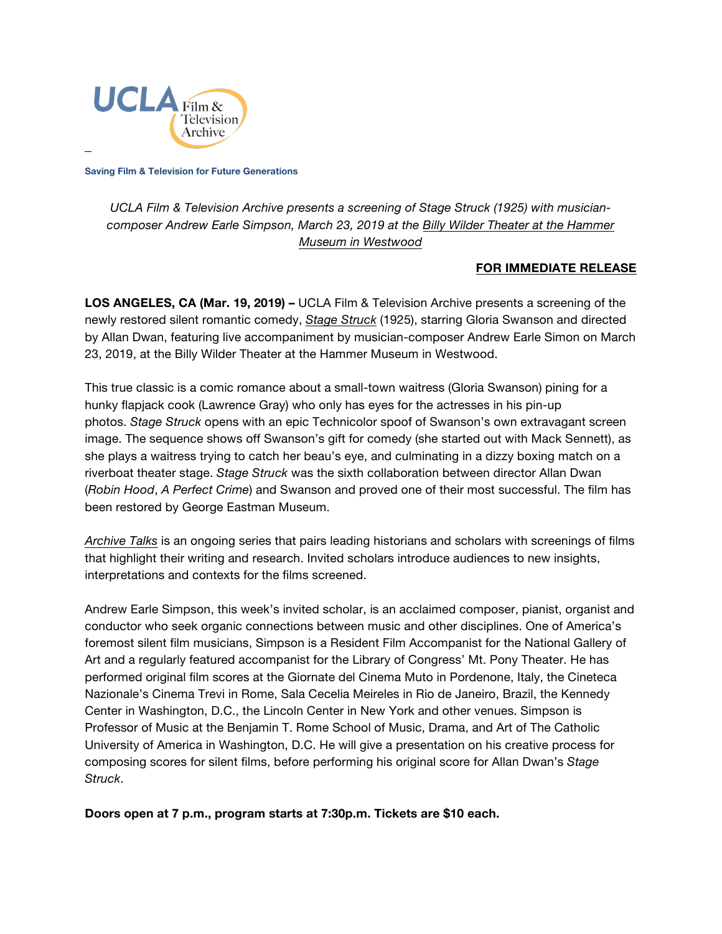

**Saving Film & Television for Future Generations**

*UCLA Film & Television Archive presents a screening of Stage Struck (1925) with musiciancomposer Andrew Earle Simpson, March 23, 2019 at the [Billy Wilder Theater at the Hammer](https://www.cinema.ucla.edu/billy-wilder-theater)  [Museum in Westwood](https://www.cinema.ucla.edu/billy-wilder-theater)*

## **FOR IMMEDIATE RELEASE**

**LOS ANGELES, CA (Mar. 19, 2019) –** UCLA Film & Television Archive presents a screening of the newly restored silent romantic comedy, *[Stage Struck](https://www.cinema.ucla.edu/events/2010/03/23/stage-struck)* (1925), starring Gloria Swanson and directed by Allan Dwan, featuring live accompaniment by musician-composer Andrew Earle Simon on March 23, 2019, at the Billy Wilder Theater at the Hammer Museum in Westwood.

This true classic is a comic romance about a small-town waitress (Gloria Swanson) pining for a hunky flapjack cook (Lawrence Gray) who only has eyes for the actresses in his pin-up photos. *Stage Struck* opens with an epic Technicolor spoof of Swanson's own extravagant screen image. The sequence shows off Swanson's gift for comedy (she started out with Mack Sennett), as she plays a waitress trying to catch her beau's eye, and culminating in a dizzy boxing match on a riverboat theater stage. *Stage Struck* was the sixth collaboration between director Allan Dwan (*Robin Hood*, *A Perfect Crime*) and Swanson and proved one of their most successful. The film has been restored by George Eastman Museum.

*[Archive Talks](https://www.cinema.ucla.edu/events/archive-talks)* is an ongoing series that pairs leading historians and scholars with screenings of films that highlight their writing and research. Invited scholars introduce audiences to new insights, interpretations and contexts for the films screened.

Andrew Earle Simpson, this week's invited scholar, is an acclaimed composer, pianist, organist and conductor who seek organic connections between music and other disciplines. One of America's foremost silent film musicians, Simpson is a Resident Film Accompanist for the National Gallery of Art and a regularly featured accompanist for the Library of Congress' Mt. Pony Theater. He has performed original film scores at the Giornate del Cinema Muto in Pordenone, Italy, the Cineteca Nazionale's Cinema Trevi in Rome, Sala Cecelia Meireles in Rio de Janeiro, Brazil, the Kennedy Center in Washington, D.C., the Lincoln Center in New York and other venues. Simpson is Professor of Music at the Benjamin T. Rome School of Music, Drama, and Art of The Catholic University of America in Washington, D.C. He will give a presentation on his creative process for composing scores for silent films, before performing his original score for Allan Dwan's *Stage Struck*.

**Doors open at 7 p.m., program starts at 7:30p.m. Tickets are \$10 each.**